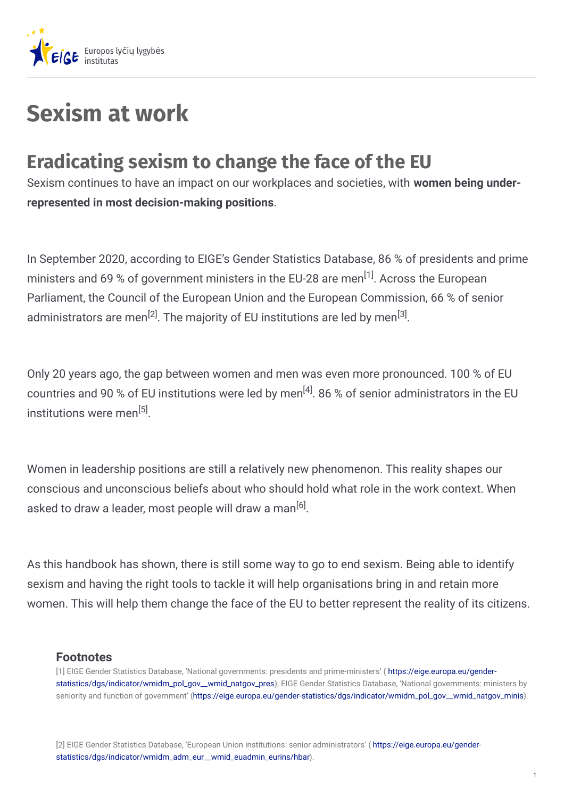

## **Sexism at work**

## **Eradicating sexism to change the face of the EU**

Sexism continues to have an impact on our workplaces and societies, with **women being underrepresented in most decision-making positions**.

In September 2020, according to EIGE's Gender Statistics Database, 86 % of presidents and prime ministers and 69 % of government ministers in the EU-28 are men<sup>[1]</sup>. Across the European Parliament, the Council of the European Union and the European Commission, 66 % of senior administrators are men<sup>[2]</sup>. The majority of EU institutions are led by men<sup>[3]</sup>.

Only 20 years ago, the gap between women and men was even more pronounced. 100 % of EU countries and 90 % of EU institutions were led by men $^{[4]}$ . 86 % of senior administrators in the EU institutions were men<sup>[5]</sup>.

Women in leadership positions are still a relatively new phenomenon. This reality shapes our conscious and unconscious beliefs about who should hold what role in the work context. When asked to draw a leader, most people will draw a man<sup>[6]</sup>.

As this handbook has shown, there is still some way to go to end sexism. Being able to identify sexism and having the right tools to tackle it will help organisations bring in and retain more women. This will help them change the face of the EU to better represent the reality of its citizens.

## **Footnotes**

[1] EIGE Gender Statistics Database, 'National governments: presidents and prime-ministers' ( https://eige.europa.eu/gender[statistics/dgs/indicator/wmidm\\_pol\\_gov\\_\\_wmid\\_natgov\\_pres\);](https://eige.europa.eu/gender-statistics/dgs/indicator/wmidm_pol_gov__wmid_natgov_pres) EIGE Gender Statistics Database, 'National governments: ministers by seniority and function of government' (https://eige.europa.eu/gender-statistics/dgs/indicator/wmidm\_pol\_gov\_wmid\_natgov\_minis).